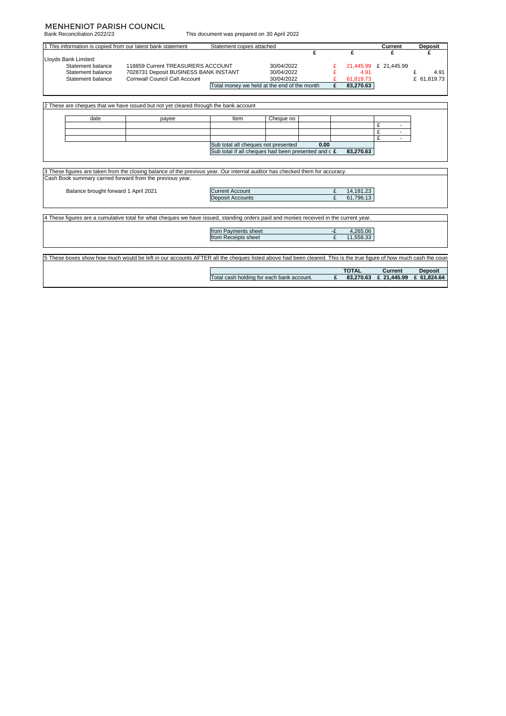### MENHENIOT PARISH COUNCIL

Bank Reconciliation 2022/23

This document was prepared on 30 April 2022

| 1 This information is copied from our latest bank statement |                                                                                                                                                                                           | Statement copies attached |                                                     |      |              | Current               | <b>Deposit</b> |
|-------------------------------------------------------------|-------------------------------------------------------------------------------------------------------------------------------------------------------------------------------------------|---------------------------|-----------------------------------------------------|------|--------------|-----------------------|----------------|
|                                                             |                                                                                                                                                                                           |                           |                                                     | £    | £            | £                     | £              |
| Lloyds Bank Limited:                                        |                                                                                                                                                                                           |                           |                                                     |      |              |                       |                |
| Statement balance                                           | 118859 Current TREASURERS ACCOUNT                                                                                                                                                         |                           | 30/04/2022                                          |      |              | 21,445.99 £ 21,445.99 |                |
| Statement balance                                           | 7028731 Deposit BUSINESS BANK INSTANT                                                                                                                                                     |                           | 30/04/2022                                          |      | 4.91         |                       | £<br>4.91      |
| Statement balance                                           | <b>Cornwall Council Call Account</b>                                                                                                                                                      |                           | 30/04/2022                                          |      | 61,819.73    |                       | £ 61.819.73    |
|                                                             |                                                                                                                                                                                           |                           | Total money we held at the end of the month         | £    | 83,270.63    |                       |                |
|                                                             |                                                                                                                                                                                           |                           |                                                     |      |              |                       |                |
|                                                             |                                                                                                                                                                                           |                           |                                                     |      |              |                       |                |
|                                                             | 2 These are cheques that we have issued but not yet cleared through the bank account                                                                                                      |                           |                                                     |      |              |                       |                |
| date                                                        | payee                                                                                                                                                                                     | Item                      | Cheque no                                           |      |              |                       |                |
|                                                             |                                                                                                                                                                                           |                           |                                                     |      |              | £                     |                |
|                                                             |                                                                                                                                                                                           |                           |                                                     |      |              | £                     |                |
|                                                             |                                                                                                                                                                                           |                           |                                                     |      |              | £<br>$\sim$           |                |
|                                                             |                                                                                                                                                                                           |                           | Sub total all cheques not presented                 | 0.00 |              |                       |                |
|                                                             |                                                                                                                                                                                           |                           |                                                     |      |              |                       |                |
|                                                             |                                                                                                                                                                                           |                           | Sub total if all cheques had been presented and c £ |      | 83.270.63    |                       |                |
|                                                             |                                                                                                                                                                                           |                           |                                                     |      |              |                       |                |
|                                                             | 3 These figures are taken from the closing balance of the previous year. Our internal auditor has checked them for accuracy.<br>Cash Book summary carried forward from the previous year. |                           |                                                     |      |              |                       |                |
| Balance brought forward 1 April 2021                        |                                                                                                                                                                                           | <b>Current Account</b>    |                                                     | £    | 14,181.23    |                       |                |
|                                                             |                                                                                                                                                                                           | <b>Deposit Accounts</b>   |                                                     | £    | 61,796.13    |                       |                |
|                                                             |                                                                                                                                                                                           |                           |                                                     |      |              |                       |                |
|                                                             | 4 These figures are a cumulative total for what cheques we have issued, standing orders paid and monies received in the current year.                                                     |                           |                                                     |      |              |                       |                |
|                                                             |                                                                                                                                                                                           | from Payments sheet       |                                                     | -£   | 4,265.06     |                       |                |
|                                                             |                                                                                                                                                                                           | from Receipts sheet       |                                                     | £    | 11,558.33    |                       |                |
|                                                             |                                                                                                                                                                                           |                           |                                                     |      |              |                       |                |
|                                                             |                                                                                                                                                                                           |                           |                                                     |      |              |                       |                |
|                                                             | 5 These boxes show how much would be left in our accounts AFTER all the cheques listed above had been cleared. This is the true figure of how much cash the coun                          |                           |                                                     |      |              |                       |                |
|                                                             |                                                                                                                                                                                           |                           |                                                     |      | <b>TOTAL</b> | <b>Current</b>        | <b>Deposit</b> |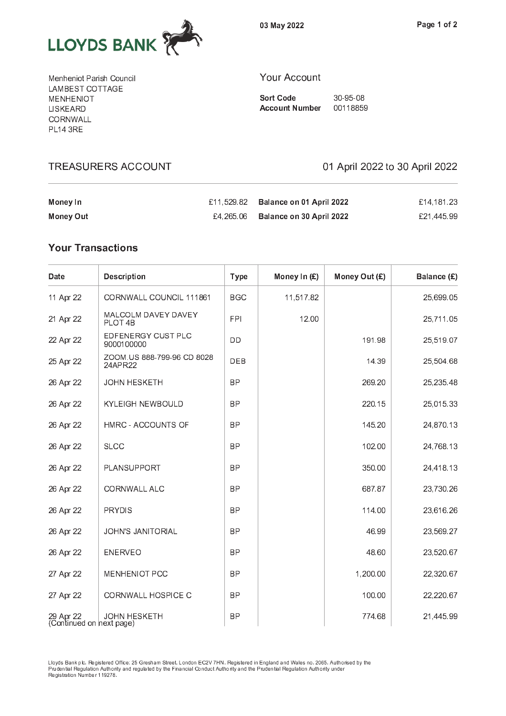

0 <sup>3</sup> <sup>M</sup> <sup>a</sup> <sup>y</sup> <sup>2</sup> <sup>0</sup> <sup>2</sup> <sup>2</sup>

M <sup>e</sup> <sup>n</sup> <sup>h</sup> <sup>e</sup> <sup>n</sup> <sup>i</sup> o <sup>t</sup> <sup>P</sup> <sup>a</sup> <sup>r</sup> i s <sup>h</sup> <sup>C</sup> <sup>o</sup> <sup>u</sup> <sup>n</sup> <sup>c</sup> <sup>i</sup> l . . . . <u>.</u> . . . . . . . . . M <sup>E</sup> <sup>N</sup> <sup>H</sup> <sup>E</sup> <sup>N</sup> <sup>I</sup> O <sup>T</sup> L <sup>I</sup> S <sup>K</sup> <sup>E</sup> <sup>A</sup> <sup>R</sup> <sup>D</sup> - - - - - - - - - - - $-$  . . .  $-$ 

**TREASURERS ACCOUNT** 

## Y <sup>o</sup> <sup>u</sup> <sup>r</sup> <sup>A</sup> <sup>c</sup> <sup>c</sup> <sup>o</sup> <sup>u</sup> <sup>n</sup> <sup>t</sup>

S o r t C o d e 3 d e 3 d e 3 d e 3 d e 3 d e 3 d e 3 d e 3 d e 3 d e 3 d e 3 d e 3 d e 3 d e 3 d e 3 d e 3 d A c o u n t n t n b e r o u m b e r o u m b e r o u m b e r o u m b e r o u m b e r o u m b e r o u m b e r o

01 April 2022 to 30 April 2022

| Money In  | £11,529.82 Balance on 01 April 2022 | £14.181.23 |
|-----------|-------------------------------------|------------|
| Money Out | £4,265.06 Balance on 30 April 2022  | £21.445.99 |

| Date                                  | <b>Description</b>                    | <b>Type</b> | Money In (£) | Money Out (£) | Balance (£) |
|---------------------------------------|---------------------------------------|-------------|--------------|---------------|-------------|
| 11 Apr 22                             | CORNWALL COUNCIL 111861               | <b>BGC</b>  | 11,517.82    |               | 25,699.05   |
| 21 Apr 22                             | MALCOLM DAVEY DAVEY<br>PLOT 4B        | <b>FPI</b>  | 12.00        |               | 25,711.05   |
| 22 Apr 22                             | EDFENERGY CUST PLC<br>9000100000      | <b>DD</b>   |              | 191.98        | 25,519.07   |
| 25 Apr 22                             | ZOOM.US 888-799-96 CD 8028<br>24APR22 | <b>DEB</b>  |              | 14.39         | 25,504.68   |
| 26 Apr 22                             | <b>JOHN HESKETH</b>                   | <b>BP</b>   |              | 269.20        | 25,235.48   |
| 26 Apr 22                             | KYLEIGH NEWBOULD                      | <b>BP</b>   |              | 220.15        | 25,015.33   |
| 26 Apr 22                             | HMRC - ACCOUNTS OF                    | <b>BP</b>   |              | 145.20        | 24,870.13   |
| 26 Apr 22                             | <b>SLCC</b>                           | <b>BP</b>   |              | 102.00        | 24,768.13   |
| 26 Apr 22                             | PLANSUPPORT                           | <b>BP</b>   |              | 350.00        | 24,418.13   |
| 26 Apr 22                             | CORNWALL ALC                          | <b>BP</b>   |              | 687.87        | 23,730.26   |
| 26 Apr 22                             | <b>PRYDIS</b>                         | <b>BP</b>   |              | 114.00        | 23,616.26   |
| 26 Apr 22                             | JOHN'S JANITORIAL                     | <b>BP</b>   |              | 46.99         | 23,569.27   |
| 26 Apr 22                             | <b>ENERVEO</b>                        | <b>BP</b>   |              | 48.60         | 23,520.67   |
| 27 Apr 22                             | MENHENIOT PCC                         | <b>BP</b>   |              | 1,200.00      | 22,320.67   |
| 27 Apr 22                             | CORNWALL HOSPICE C                    | <b>BP</b>   |              | 100.00        | 22,220.67   |
| 29 Apr 22<br>(Continued on next page) | <b>JOHN HESKETH</b>                   | <b>BP</b>   |              | 774.68        | 21,445.99   |

P <sup>r</sup> u d e n t i a l R <sup>e</sup> g u l a t i o n <sup>A</sup> <sup>u</sup> t h o r i t y <sup>a</sup> n d <sup>r</sup> e g u l a t e d <sup>b</sup> y <sup>t</sup> h e <sup>F</sup> i n a n c i a l C <sup>o</sup> n d u c t A <sup>u</sup> t h o r i t y <sup>a</sup> n d <sup>t</sup> h e <sup>P</sup> <sup>r</sup> u d e n t i a l R <sup>e</sup> g u l a t i o n <sup>A</sup> <sup>u</sup> t h o r i t y <sup>u</sup> n d e r R <sup>e</sup> g i s t r a t i o n <sup>N</sup> <sup>u</sup> m <sup>b</sup> e r 1 1 9 2 7 8 .